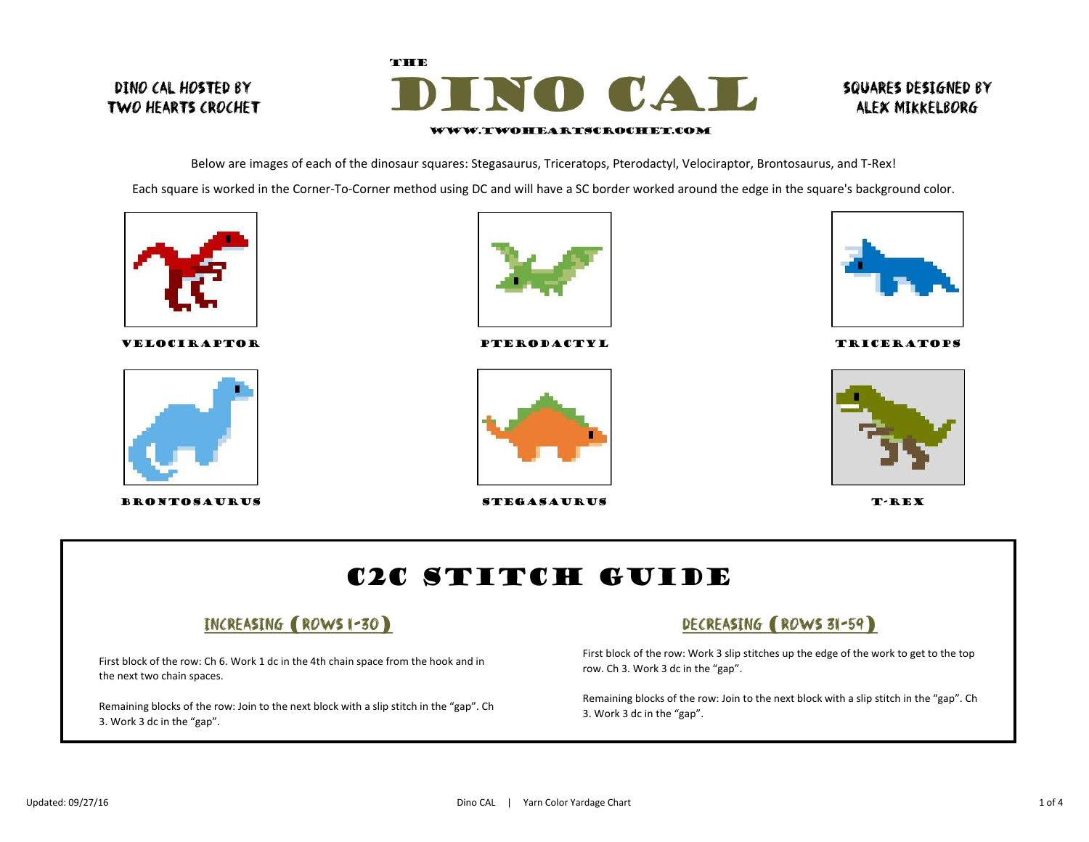## Dino CAL hosted by Two Hearts Crochet



### Squares designed by alex mikkelborg

#### WWW.TWOHEARTSCROCHET.COM

Below are images of each of the dinosaur squares: Stegasaurus, Triceratops, Pterodactyl, Velociraptor, Brontosaurus, and T-Rex! Each square is worked in the Corner-To-Corner method using DC and will have a SC border worked around the edge in the square's background color.



velociraptor



brontosaurus



pterodactyl



stegasaurus



**TRICERATOPS** 



T-REX

# C2C Stitch Guide

### Increasing (Rows 1-30)

First block of the row: Ch 6. Work 1 dc in the 4th chain space from the hook and in the next two chain spaces.

Remaining blocks of the row: Join to the next block with a slip stitch in the "gap". Ch 3. Work 3 dc in the "gap".

# DECREASING (ROWS 31-59)

First block of the row: Work 3 slip stitches up the edge of the work to get to the top row. Ch 3. Work 3 dc in the "gap".

Remaining blocks of the row: Join to the next block with a slip stitch in the "gap". Ch 3. Work 3 dc in the "gap".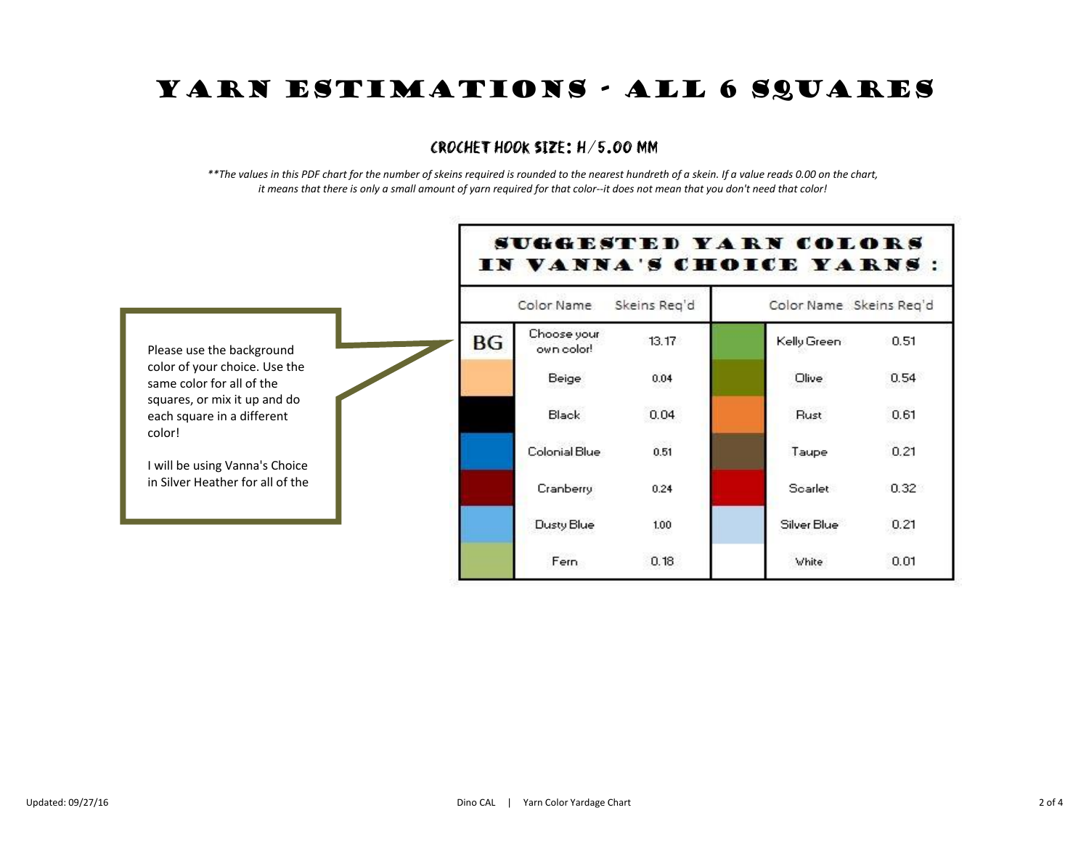# YARN ESTIMATIONS - ALL 6 SQUARES

#### crochet hook size: H/5.00 mm

*\*\*The values in this PDF chart for the number of skeins required is rounded to the nearest hundreth of a skein. If a value reads 0.00 on the chart, it means that there is only a small amount of yarn required for that color--it does not mean that you don't need that color!*

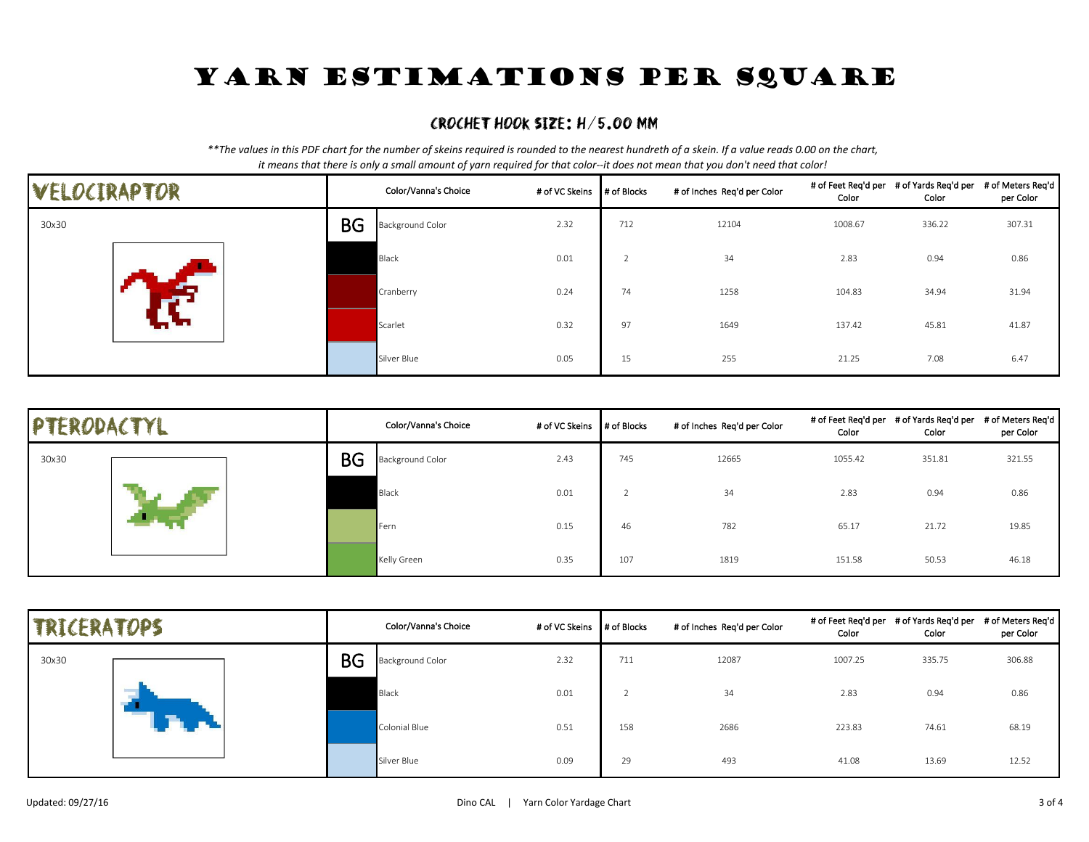# YARN ESTIMATIONS PER SQUARE

### crochet hook size: H/5.00 mm

*\*\*The values in this PDF chart for the number of skeins required is rounded to the nearest hundreth of a skein. If a value reads 0.00 on the chart, it means that there is only a small amount of yarn required for that color--it does not mean that you don't need that color!*

| VELOCIRAPTOR |           | Color/Vanna's Choice    | # of VC Skeins # of Blocks |     | # of Inches Req'd per Color | Color   | # of Feet Req'd per # of Yards Req'd per # of Meters Req'd<br>Color | per Color |
|--------------|-----------|-------------------------|----------------------------|-----|-----------------------------|---------|---------------------------------------------------------------------|-----------|
| 30x30        | <b>BG</b> | <b>Background Color</b> | 2.32                       | 712 | 12104                       | 1008.67 | 336.22                                                              | 307.31    |
|              |           | Black                   | 0.01                       |     | 34                          | 2.83    | 0.94                                                                | 0.86      |
|              |           | Cranberry               | 0.24                       | 74  | 1258                        | 104.83  | 34.94                                                               | 31.94     |
|              |           | Scarlet                 | 0.32                       | 97  | 1649                        | 137.42  | 45.81                                                               | 41.87     |
|              |           | Silver Blue             | 0.05                       | 15  | 255                         | 21.25   | 7.08                                                                | 6.47      |

| PTERODACTYL |           | Color/Vanna's Choice | # of VC Skeins # of Blocks |     | # of Inches Req'd per Color | Color   | # of Feet Req'd per # of Yards Req'd per # of Meters Req'd  <br>Color | per Color |
|-------------|-----------|----------------------|----------------------------|-----|-----------------------------|---------|-----------------------------------------------------------------------|-----------|
| 30x30       | <b>BG</b> | Background Color     | 2.43                       | 745 | 12665                       | 1055.42 | 351.81                                                                | 321.55    |
|             |           | Black                | 0.01                       |     | 34                          | 2.83    | 0.94                                                                  | 0.86      |
|             |           | <b>I</b> Fern        | 0.15                       | 46  | 782                         | 65.17   | 21.72                                                                 | 19.85     |
|             |           | Kelly Green          | 0.35                       | 107 | 1819                        | 151.58  | 50.53                                                                 | 46.18     |

| <b>TRICERATOPS</b> |           | Color/Vanna's Choice    | # of VC Skeins # of Blocks |     | # of Inches Req'd per Color | Color   | # of Feet Req'd per # of Yards Req'd per # of Meters Req'd<br>Color | per Color |
|--------------------|-----------|-------------------------|----------------------------|-----|-----------------------------|---------|---------------------------------------------------------------------|-----------|
| 30x30              | <b>BG</b> | <b>Background Color</b> | 2.32                       | 711 | 12087                       | 1007.25 | 335.75                                                              | 306.88    |
|                    |           | Black                   | 0.01                       |     | 34                          | 2.83    | 0.94                                                                | 0.86      |
|                    |           | Colonial Blue           | 0.51                       | 158 | 2686                        | 223.83  | 74.61                                                               | 68.19     |
|                    |           | Silver Blue             | 0.09                       | 29  | 493                         | 41.08   | 13.69                                                               | 12.52     |